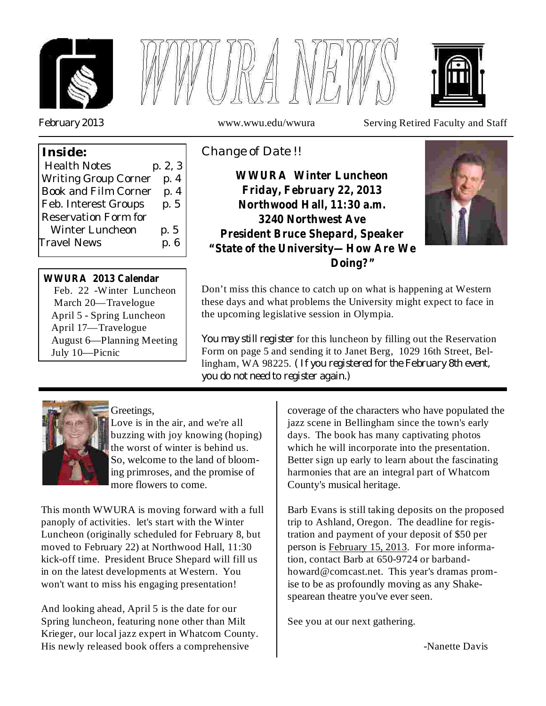



*February 2013*

**Inside:**

www.wwu.edu/wwura Serving Retired Faculty and Staff

# *Change of Date !!*

**WWURA Winter Luncheon Friday, February 22, 2013 Northwood Hall, 11:30 a.m. 3240 Northwest Ave President Bruce Shepard, Speaker "State of the University—How Are We Doing?"**



Don't miss this chance to catch up on what is happening at Western these days and what problems the University might expect to face in the upcoming legislative session in Olympia.

*You may still register* for this luncheon by filling out the Reservation *( If you registered for the February 8th event,* lingham, WA 98225. *you do not need to register again.)* Form on page 5 and sending it to Janet Berg, 1029 16th Street, Bel-



July 10—Picnic

Greetings,

Feb. 22 -Winter Luncheon March 20—Travelogue April 5 - Spring Luncheon April 17—Travelogue

**WWURA 2013 Calendar**

Winter Luncheon p. 5 Travel News p.6

Health Notes p. 2, 3 Writing Group Corner p. 4 Book and Film Corner p. 4 Feb. Interest Groups p. 5

Reservation Form for

August 6—Planning Meeting

Love is in the air, and we're all buzzing with joy knowing (hoping) the worst of winter is behind us. So, welcome to the land of blooming primroses, and the promise of more flowers to come.

This month WWURA is moving forward with a full panoply of activities. let's start with the Winter Luncheon (originally scheduled for February 8, but moved to February 22) at Northwood Hall, 11:30 kick-off time. President Bruce Shepard will fill us in on the latest developments at Western. You won't want to miss his engaging presentation!

And looking ahead, April 5 is the date for our Spring luncheon, featuring none other than Milt Krieger, our local jazz expert in Whatcom County. His newly released book offers a comprehensive

coverage of the characters who have populated the jazz scene in Bellingham since the town's early days. The book has many captivating photos which he will incorporate into the presentation. Better sign up early to learn about the fascinating harmonies that are an integral part of Whatcom County's musical heritage.

Barb Evans is still taking deposits on the proposed trip to Ashland, Oregon. The deadline for registration and payment of your deposit of \$50 per person is February 15, 2013. For more information, contact Barb at 650-9724 or barbandhoward@comcast.net. This year's dramas promise to be as profoundly moving as any Shakespearean theatre you've ever seen.

See you at our next gathering.

-Nanette Davis

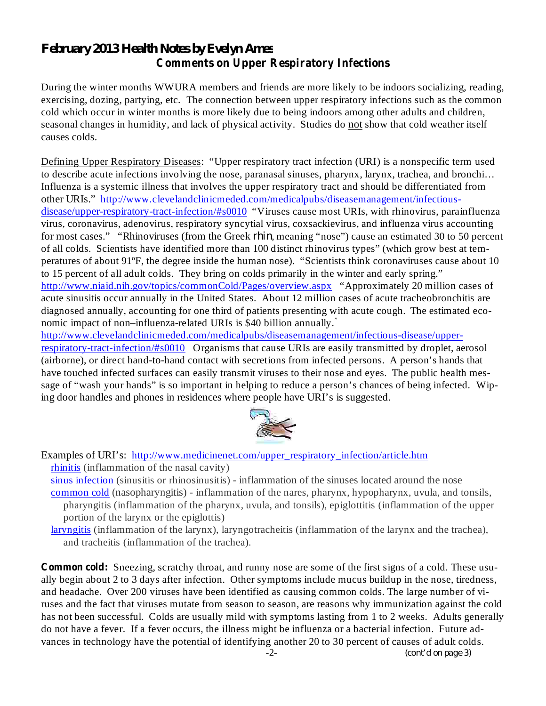## *February 2013 Health Notes by Evelyn Ames* **Comments on Upper Respiratory Infections**

During the winter months WWURA members and friends are more likely to be indoors socializing, reading, exercising, dozing, partying, etc. The connection between upper respiratory infections such as the common cold which occur in winter months is more likely due to being indoors among other adults and children, seasonal changes in humidity, and lack of physical activity. Studies do not show that cold weather itself causes colds.

Defining Upper Respiratory Diseases: "Upper respiratory tract infection (URI) is a nonspecific term used to describe acute infections involving the nose, paranasal sinuses, pharynx, larynx, trachea, and bronchi… Influenza is a systemic illness that involves the upper respiratory tract and should be differentiated from other URIs." http://www.clevelandclinicmeded.com/medicalpubs/diseasemanagement/infectiousdisease/upper-respiratory-tract-infection/#s0010 "Viruses cause most URIs, with rhinovirus, parainfluenza virus, coronavirus, adenovirus, respiratory syncytial virus, coxsackievirus, and influenza virus accounting for most cases." "Rhinoviruses (from the Greek *rhin*, meaning "nose") cause an estimated 30 to 50 percent of all colds. Scientists have identified more than 100 distinct rhinovirus types" (which grow best at temperatures of about 91ºF, the degree inside the human nose). "Scientists think coronaviruses cause about 10 to 15 percent of all adult colds. They bring on colds primarily in the winter and early spring." http://www.niaid.nih.gov/topics/commonCold/Pages/overview.aspx "Approximately 20 million cases of acute sinusitis occur annually in the United States. About 12 million cases of acute tracheobronchitis are diagnosed annually, accounting for one third of patients presenting with acute cough. The estimated economic impact of non–influenza-related URIs is \$40 billion annually. "

http://www.clevelandclinicmeded.com/medicalpubs/diseasemanagement/infectious-disease/upperrespiratory-tract-infection/#s0010 Organisms that cause URIs are easily transmitted by droplet, aerosol (airborne), or direct hand-to-hand contact with secretions from infected persons. A person's hands that have touched infected surfaces can easily transmit viruses to their nose and eyes. The public health message of "wash your hands" is so important in helping to reduce a person's chances of being infected. Wiping door handles and phones in residences where people have URI's is suggested.



Examples of URI's: http://www.medicinenet.com/upper\_respiratory\_infection/article.htm rhinitis (inflammation of the nasal cavity)

- sinus infection (sinusitis or rhinosinusitis) inflammation of the sinuses located around the nose common cold (nasopharyngitis) - inflammation of the nares, pharynx, hypopharynx, uvula, and tonsils, pharyngitis (inflammation of the pharynx, uvula, and tonsils), epiglottitis (inflammation of the upper portion of the larynx or the epiglottis)
- laryngitis (inflammation of the larynx), laryngotracheitis (inflammation of the larynx and the trachea), and tracheitis (inflammation of the trachea).

**Common cold:** Sneezing, scratchy throat, and runny nose are some of the first signs of a cold. These usually begin about 2 to 3 days after infection. Other symptoms include mucus buildup in the nose, tiredness, and headache. Over 200 viruses have been identified as causing common colds. The large number of viruses and the fact that viruses mutate from season to season, are reasons why immunization against the cold has not been successful. Colds are usually mild with symptoms lasting from 1 to 2 weeks. Adults generally do not have a fever. If a fever occurs, the illness might be influenza or a bacterial infection. Future advances in technology have the potential of identifying another 20 to 30 percent of causes of adult colds.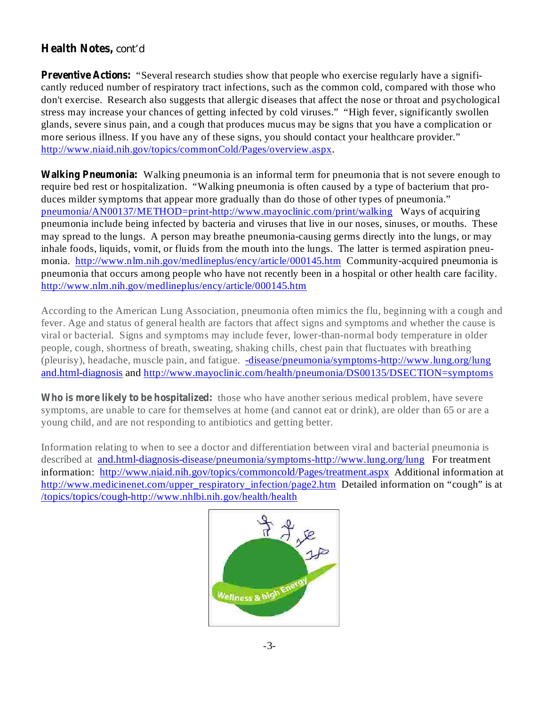### **Health Notes,** *cont'd*

**Preventive Actions:** "Several research studies show that people who exercise regularly have a significantly reduced number of respiratory tract infections, such as the common cold, compared with those who don't exercise. Research also suggests that allergic diseases that affect the nose or throat and psychological stress may increase your chances of getting infected by cold viruses." "High fever, significantly swollen glands, severe sinus pain, and a cough that produces mucus may be signs that you have a complication or more serious illness. If you have any of these signs, you should contact your healthcare provider." http://www.niaid.nih.gov/topics/commonCold/Pages/overview.aspx.

Walking Pneumonia: Walking pneumonia is an informal term for pneumonia that is not severe enough to require bed rest or hospitalization. "Walking pneumonia is often caused by a type of bacterium that produces milder symptoms that appear more gradually than do those of other types of pneumonia." pneumonia/AN00137/METHOD=print-http://www.mayoclinic.com/print/walking Ways of acquiring pneumonia include being infected by bacteria and viruses that live in our noses, sinuses, or mouths. These may spread to the lungs. A person may breathe pneumonia-causing germs directly into the lungs, or may inhale foods, liquids, vomit, or fluids from the mouth into the lungs. The latter is termed aspiration pneumonia. http://www.nlm.nih.gov/medlineplus/ency/article/000145.htm Community-acquired pneumonia is pneumonia that occurs among people who have not recently been in a hospital or other health care facility. http://www.nlm.nih.gov/medlineplus/ency/article/000145.htm

According to the American Lung Association, pneumonia often mimics the flu, beginning with a cough and fever. Age and status of general health are factors that affect signs and symptoms and whether the cause is viral or bacterial. Signs and symptoms may include fever, lower-than-normal body temperature in older people, cough, shortness of breath, sweating, shaking chills, chest pain that fluctuates with breathing (pleurisy), headache, muscle pain, and fatigue. -disease/pneumonia/symptoms-http://www.lung.org/lung and.html-diagnosis and http://www.mayoclinic.com/health/pneumonia/DS00135/DSECTION=symptoms

**Who is more likely to be hospitalized:** those who have another serious medical problem, have severe symptoms, are unable to care for themselves at home (and cannot eat or drink), are older than 65 or are a young child, and are not responding to antibiotics and getting better.

Information relating to when to see a doctor and differentiation between viral and bacterial pneumonia is described at and.html-diagnosis-disease/pneumonia/symptoms-http://www.lung.org/lung For treatment information: http://www.niaid.nih.gov/topics/commoncold/Pages/treatment.aspx Additional information at http://www.medicinenet.com/upper\_respiratory\_infection/page2.htm Detailed information on "cough" is at /topics/topics/cough-http://www.nhlbi.nih.gov/health/health

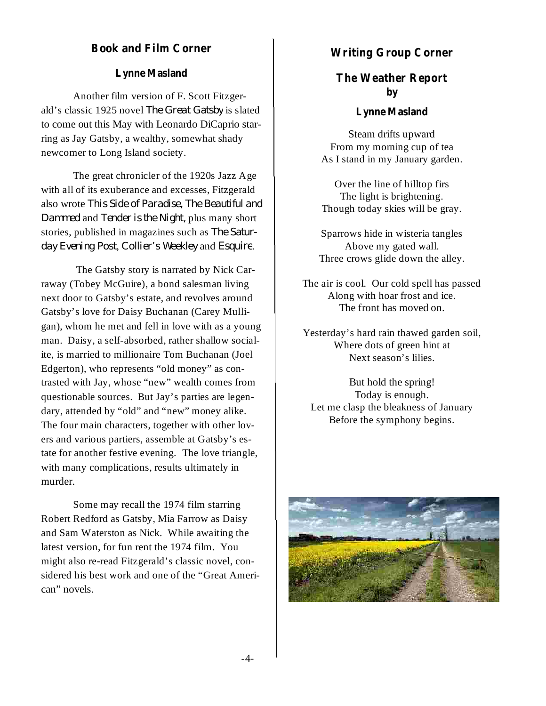#### **Book and Film Corner**

Another film version of F. Scott Fitzgerald's classic 1925 novel The Great Gatsby is slated to come out this May with Leonardo DiCaprio starring as Jay Gatsby, a wealthy, somewhat shady newcomer to Long Island society.

The great chronicler of the 1920s Jazz Age with all of its exuberance and excesses, Fitzgerald also wrote *This Side of Paradise, The Beautiful and Dammed* and *Tender is the Night*, plus many short stories, published in magazines such as *The Satur*day *Evening Post, Collier's* Weekley and *Esquire*.

The Gatsby story is narrated by Nick Carraway (Tobey McGuire), a bond salesman living next door to Gatsby's estate, and revolves around Gatsby's love for Daisy Buchanan (Carey Mulligan), whom he met and fell in love with as a young man. Daisy, a self-absorbed, rather shallow socialite, is married to millionaire Tom Buchanan (Joel Edgerton), who represents "old money" as contrasted with Jay, whose "new" wealth comes from questionable sources. But Jay's parties are legendary, attended by "old" and "new" money alike. The four main characters, together with other lovers and various partiers, assemble at Gatsby's estate for another festive evening. The love triangle, with many complications, results ultimately in murder.

Some may recall the 1974 film starring Robert Redford as Gatsby, Mia Farrow as Daisy and Sam Waterston as Nick. While awaiting the latest version, for fun rent the 1974 film. You might also re-read Fitzgerald's classic novel, considered his best work and one of the "Great American" novels.

#### **Writing Group Corner**

## **Lynne Masland The Weather Report by**

#### **Lynne Masland**

Steam drifts upward From my morning cup of tea As I stand in my January garden.

Over the line of hilltop firs The light is brightening. Though today skies will be gray.

Sparrows hide in wisteria tangles Above my gated wall. Three crows glide down the alley.

The air is cool. Our cold spell has passed Along with hoar frost and ice. The front has moved on.

Yesterday's hard rain thawed garden soil, Where dots of green hint at Next season's lilies.

But hold the spring! Today is enough. Let me clasp the bleakness of January Before the symphony begins.

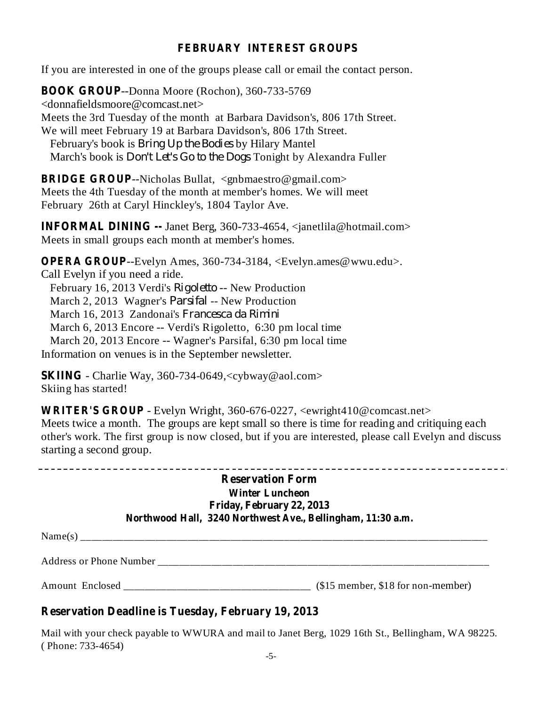## **FEBRUARY INTEREST GROUPS**

If you are interested in one of the groups please call or email the contact person.

**BOOK GROUP** --Donna Moore (Rochon), 360-733-5769 <donnafieldsmoore@comcast.net> Meets the 3rd Tuesday of the month at Barbara Davidson's, 806 17th Street. We will meet February 19 at Barbara Davidson's, 806 17th Street. February's book is *Bring Up the Bodies* by Hilary Mantel March's book is *Don't Let's Go to the Dogs* Tonight by Alexandra Fuller

**BRIDGE GROUP**--Nicholas Bullat, <gnbmaestro@gmail.com> Meets the 4th Tuesday of the month at member's homes. We will meet February 26th at Caryl Hinckley's, 1804 Taylor Ave.

**INFORMAL DINING --** Janet Berg, 360-733-4654, <janetlila@hotmail.com> Meets in small groups each month at member's homes.

**OPERA GROUP** --Evelyn Ames, 360-734-3184, <Evelyn.ames@wwu.edu>. Call Evelyn if you need a ride. February 16, 2013 Verdi's Rigoletto -- New Production March 2, 2013 Wagner's *Parsifal* -- New Production March 16, 2013 Zandonai's *Francesca da Rimini*March 6, 2013 Encore -- Verdi's Rigoletto, 6:30 pm local time March 20, 2013 Encore -- Wagner's Parsifal, 6:30 pm local time Information on venues is in the September newsletter.

**SKIING** - Charlie Way, 360-734-0649,<cybway@aol.com> Skiing has started!

**WRITER'S GROUP** - Evelyn Wright, 360-676-0227, <ewright410@comcast.net> Meets twice a month. The groups are kept small so there is time for reading and critiquing each other's work. The first group is now closed, but if you are interested, please call Evelyn and discuss starting a second group.

| <b>Reservation Form</b>                                     |  |
|-------------------------------------------------------------|--|
| <b>Winter Luncheon</b>                                      |  |
| Friday, February 22, 2013                                   |  |
| Northwood Hall, 3240 Northwest Ave., Bellingham, 11:30 a.m. |  |
|                                                             |  |

 $Name(s)$ 

-------

Address or Phone Number \_\_\_\_\_\_\_\_\_\_\_\_\_\_\_\_\_\_\_\_\_\_\_\_\_\_\_\_\_\_\_\_\_\_\_\_\_\_\_\_\_\_\_\_\_\_\_\_\_\_\_\_\_\_\_\_\_\_\_\_\_\_

Amount Enclosed \_\_\_\_\_\_\_\_\_\_\_\_\_\_\_\_\_\_\_\_\_\_\_\_\_\_\_\_\_\_\_\_\_\_\_ (\$15 member, \$18 for non-member)

## **Reservation Deadline is Tuesday, February 19, 2013**

Mail with your check payable to WWURA and mail to Janet Berg, 1029 16th St., Bellingham, WA 98225. ( Phone: 733-4654)